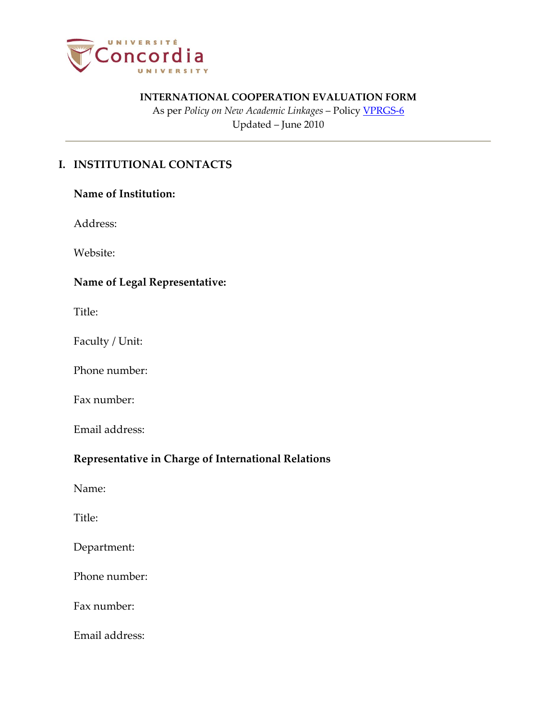

As per *Policy on New Academic Linkages* – Policy [VPRGS-6](http://vpexternalsecgen.concordia.ca/documents/policies/VPRGS-6.pdf) Updated – June 2010

# **I. INSTITUTIONAL CONTACTS**

## **Name of Institution:**

Address:

Website:

## **Name of Legal Representative:**

Title:

Faculty / Unit:

Phone number:

Fax number:

Email address:

### **Representative in Charge of International Relations**

Name:

Title:

Department:

Phone number:

Fax number:

Email address: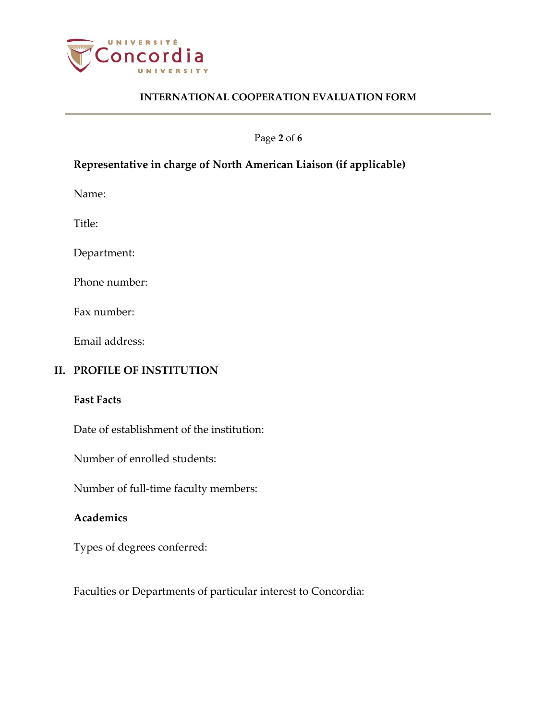

Page **2** of **6**

## **Representative in charge of North American Liaison (if applicable)**

Name:

Title:

Department:

Phone number:

Fax number:

Email address:

## **II. PROFILE OF INSTITUTION**

### **Fast Facts**

Date of establishment of the institution:

Number of enrolled students:

Number of full-time faculty members:

### **Academics**

Types of degrees conferred:

Faculties or Departments of particular interest to Concordia: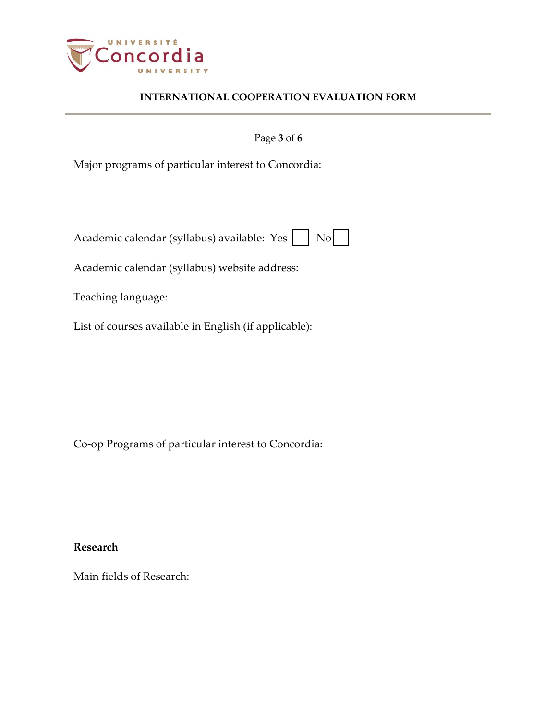

| Page 3 of 6 |  |  |
|-------------|--|--|
|             |  |  |

Major programs of particular interest to Concordia:

|--|--|--|--|

Academic calendar (syllabus) website address:

Teaching language:

List of courses available in English (if applicable):

Co-op Programs of particular interest to Concordia:

**Research**

Main fields of Research: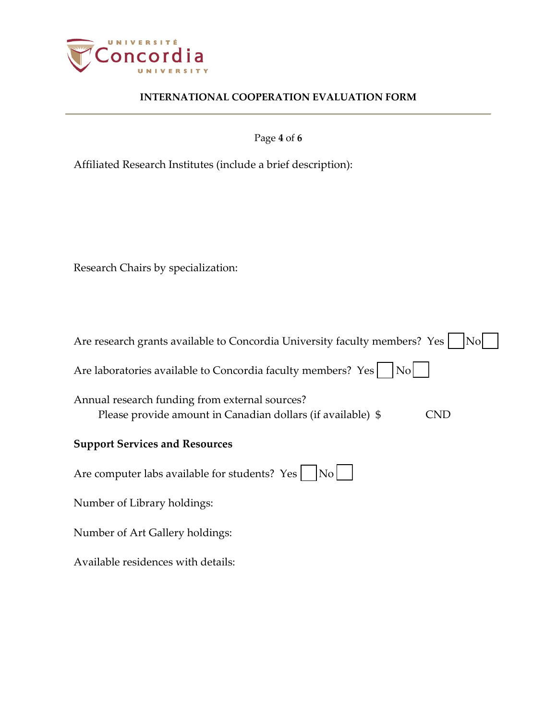

Page **4** of **6**

Affiliated Research Institutes (include a brief description):

Research Chairs by specialization:

| Are research grants available to Concordia University faculty members? Yes<br>No                                     |
|----------------------------------------------------------------------------------------------------------------------|
| Are laboratories available to Concordia faculty members? Yes<br><b>No</b>                                            |
| Annual research funding from external sources?<br>Please provide amount in Canadian dollars (if available) \$<br>CND |
| <b>Support Services and Resources</b>                                                                                |
| Are computer labs available for students? Yes<br> No                                                                 |
| Number of Library holdings:                                                                                          |
| Number of Art Gallery holdings:                                                                                      |
| Available residences with details:                                                                                   |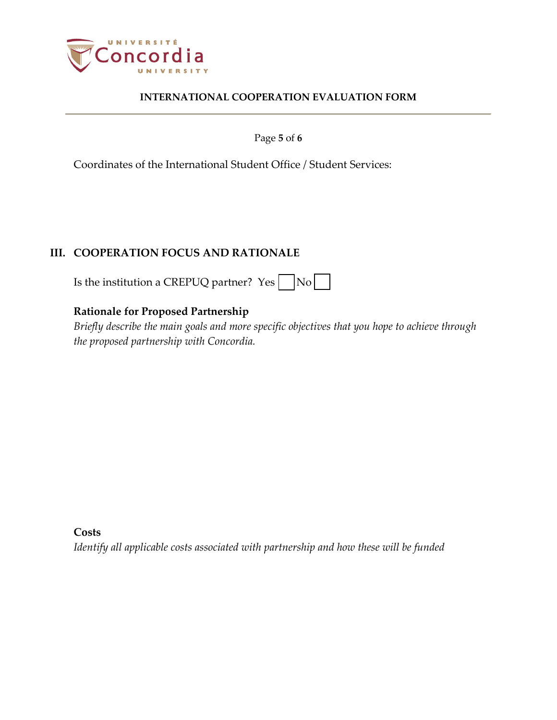

Page **5** of **6**

Coordinates of the International Student Office / Student Services:

# **III. COOPERATION FOCUS AND RATIONALE**

Is the institution a CREPUQ partner?  $Yes \cap No$ 

# **Rationale for Proposed Partnership**

*Briefly describe the main goals and more specific objectives that you hope to achieve through the proposed partnership with Concordia.*

**Costs** 

*Identify all applicable costs associated with partnership and how these will be funded*